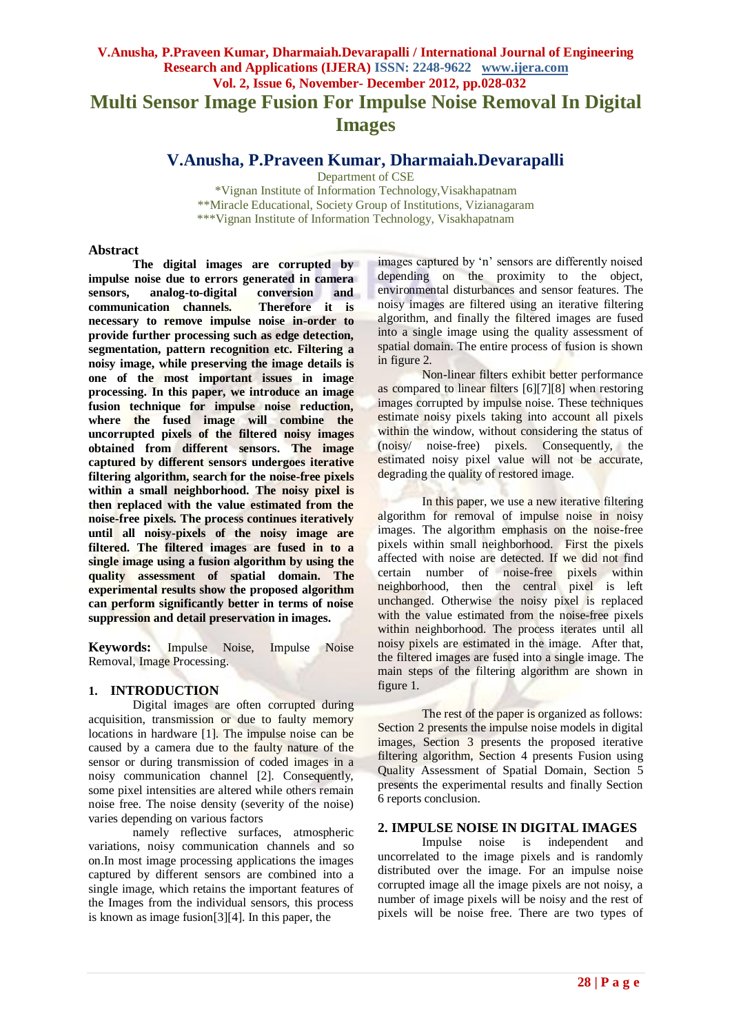# **V.Anusha, P.Praveen Kumar, Dharmaiah.Devarapalli / International Journal of Engineering Research and Applications (IJERA) ISSN: 2248-9622 www.ijera.com Vol. 2, Issue 6, November- December 2012, pp.028-032 Multi Sensor Image Fusion For Impulse Noise Removal In Digital Images**

# **V.Anusha, P.Praveen Kumar, Dharmaiah.Devarapalli**

Department of CSE

\*Vignan Institute of Information Technology,Visakhapatnam \*\*Miracle Educational, Society Group of Institutions, Vizianagaram \*\*\*Vignan Institute of Information Technology, Visakhapatnam

#### **Abstract**

**The digital images are corrupted by impulse noise due to errors generated in camera sensors, analog-to-digital conversion and communication channels. Therefore it is necessary to remove impulse noise in-order to provide further processing such as edge detection, segmentation, pattern recognition etc. Filtering a noisy image, while preserving the image details is one of the most important issues in image processing. In this paper, we introduce an image fusion technique for impulse noise reduction, where the fused image will combine the uncorrupted pixels of the filtered noisy images obtained from different sensors. The image captured by different sensors undergoes iterative filtering algorithm, search for the noise-free pixels within a small neighborhood. The noisy pixel is then replaced with the value estimated from the noise-free pixels. The process continues iteratively until all noisy-pixels of the noisy image are filtered. The filtered images are fused in to a single image using a fusion algorithm by using the quality assessment of spatial domain. The experimental results show the proposed algorithm can perform significantly better in terms of noise suppression and detail preservation in images.**

**Keywords:** Impulse Noise, Impulse Noise Removal, Image Processing.

# **1. INTRODUCTION**

Digital images are often corrupted during acquisition, transmission or due to faulty memory locations in hardware [1]. The impulse noise can be caused by a camera due to the faulty nature of the sensor or during transmission of coded images in a noisy communication channel [2]. Consequently, some pixel intensities are altered while others remain noise free. The noise density (severity of the noise) varies depending on various factors

namely reflective surfaces, atmospheric variations, noisy communication channels and so on.In most image processing applications the images captured by different sensors are combined into a single image, which retains the important features of the Images from the individual sensors, this process is known as image fusion[3][4]. In this paper, the

images captured by "n" sensors are differently noised depending on the proximity to the object, environmental disturbances and sensor features. The noisy images are filtered using an iterative filtering algorithm, and finally the filtered images are fused into a single image using the quality assessment of spatial domain. The entire process of fusion is shown in figure 2.

Non-linear filters exhibit better performance as compared to linear filters [6][7][8] when restoring images corrupted by impulse noise. These techniques estimate noisy pixels taking into account all pixels within the window, without considering the status of (noisy/ noise-free) pixels. Consequently, the estimated noisy pixel value will not be accurate, degrading the quality of restored image.

In this paper, we use a new iterative filtering algorithm for removal of impulse noise in noisy images. The algorithm emphasis on the noise-free pixels within small neighborhood. First the pixels affected with noise are detected. If we did not find certain number of noise-free pixels within neighborhood, then the central pixel is left unchanged. Otherwise the noisy pixel is replaced with the value estimated from the noise-free pixels within neighborhood. The process iterates until all noisy pixels are estimated in the image. After that, the filtered images are fused into a single image. The main steps of the filtering algorithm are shown in figure 1.

The rest of the paper is organized as follows: Section 2 presents the impulse noise models in digital images, Section 3 presents the proposed iterative filtering algorithm, Section 4 presents Fusion using Quality Assessment of Spatial Domain, Section 5 presents the experimental results and finally Section 6 reports conclusion.

# **2. IMPULSE NOISE IN DIGITAL IMAGES**

Impulse noise is independent and uncorrelated to the image pixels and is randomly distributed over the image. For an impulse noise corrupted image all the image pixels are not noisy, a number of image pixels will be noisy and the rest of pixels will be noise free. There are two types of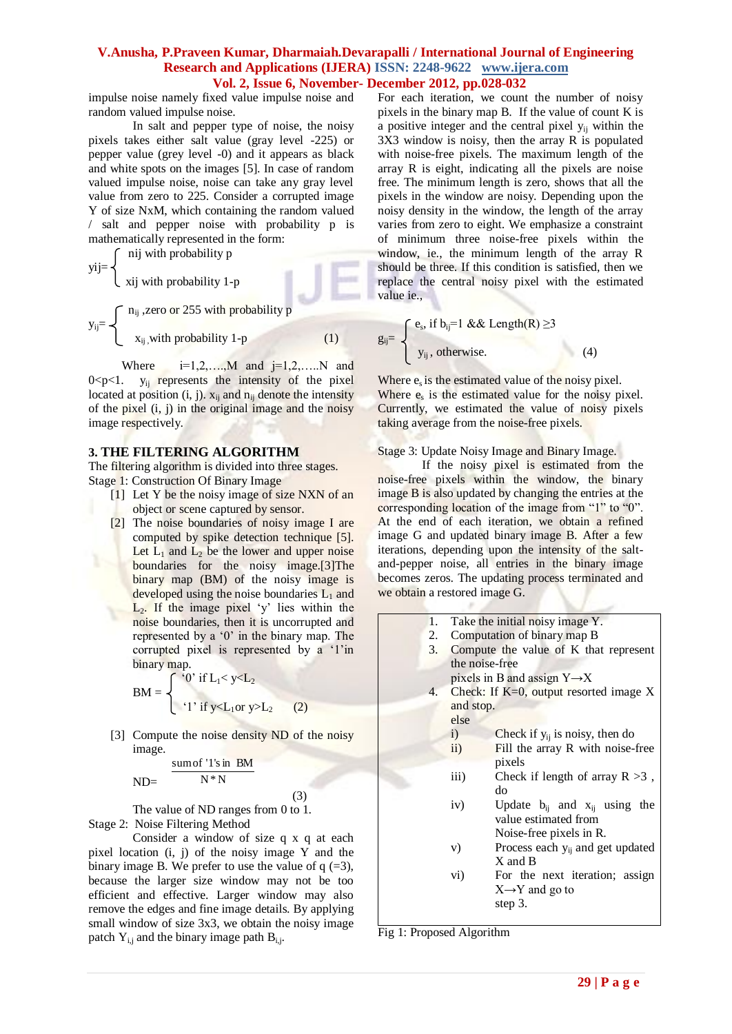impulse noise namely fixed value impulse noise and random valued impulse noise.

In salt and pepper type of noise, the noisy pixels takes either salt value (gray level -225) or pepper value (grey level -0) and it appears as black and white spots on the images [5]. In case of random valued impulse noise, noise can take any gray level value from zero to 225. Consider a corrupted image Y of size NxM, which containing the random valued / salt and pepper noise with probability p is mathematically represented in the form:

$$
yij = \begin{cases} \n\text{nij with probability p} \\ \n\text{xij with probability 1-p} \n\end{cases}
$$
\n
$$
y_{ij} = \begin{cases} \n n_{ij} \text{, zero or 255 with probability p} \\ \n\text{x}_{ij} \text{, with probability 1-p} \n\end{cases}
$$
\n(1)

Where  $i=1,2,...,M$  and  $j=1,2,...,N$  and  $0 < p < 1$ .  $y_{ij}$  represents the intensity of the pixel located at position  $(i, j)$ .  $x_{ij}$  and  $n_{ij}$  denote the intensity of the pixel  $(i, j)$  in the original image and the noisy image respectively.

## **3. THE FILTERING ALGORITHM**

The filtering algorithm is divided into three stages. Stage 1: Construction Of Binary Image

- [1] Let Y be the noisy image of size NXN of an object or scene captured by sensor.
- [2] The noise boundaries of noisy image I are computed by spike detection technique [5]. Let  $L_1$  and  $L_2$  be the lower and upper noise boundaries for the noisy image.[3]The binary map (BM) of the noisy image is developed using the noise boundaries  $L_1$  and  $L<sub>2</sub>$ . If the image pixel 'y' lies within the noise boundaries, then it is uncorrupted and represented by a '0' in the binary map. The corrupted pixel is represented by a '1'in binary map.

$$
BM = \begin{cases} \begin{cases} 0 & \text{if } L_1 < y < L_2 \\ 0 & \text{if } y < L_1 \text{ or } y > L_2 \end{cases} \end{cases}
$$

[3] Compute the noise density ND of the noisy image.

$$
ND = \frac{\text{sum of '1's in BM}}{N*N}
$$

 (3) The value of ND ranges from 0 to 1. Stage 2: Noise Filtering Method

Consider a window of size q x q at each pixel location (i, j) of the noisy image Y and the binary image B. We prefer to use the value of  $q (=3)$ , because the larger size window may not be too efficient and effective. Larger window may also remove the edges and fine image details. By applying small window of size 3x3, we obtain the noisy image patch  $Y_{i,j}$  and the binary image path  $B_{i,j}$ .

For each iteration, we count the number of noisy pixels in the binary map B. If the value of count K is a positive integer and the central pixel yij within the 3X3 window is noisy, then the array R is populated with noise-free pixels. The maximum length of the array R is eight, indicating all the pixels are noise free. The minimum length is zero, shows that all the pixels in the window are noisy. Depending upon the noisy density in the window, the length of the array varies from zero to eight. We emphasize a constraint of minimum three noise-free pixels within the window, ie., the minimum length of the array R should be three. If this condition is satisfied, then we replace the central noisy pixel with the estimated value ie.,

$$
g_{ij} = \begin{cases} e_s, \text{ if } b_{ij} = 1 \& \& \text{Length}(R) \ge 3 \\ y_{ij}, \text{ otherwise.} \end{cases} \tag{4}
$$

Where  $e_s$  is the estimated value of the noisy pixel. Where  $e_s$  is the estimated value for the noisy pixel. Currently, we estimated the value of noisy pixels taking average from the noise-free pixels.

#### Stage 3: Update Noisy Image and Binary Image.

If the noisy pixel is estimated from the noise-free pixels within the window, the binary image B is also updated by changing the entries at the corresponding location of the image from "1" to "0". At the end of each iteration, we obtain a refined image G and updated binary image B. After a few iterations, depending upon the intensity of the saltand-pepper noise, all entries in the binary image becomes zeros. The updating process terminated and we obtain a restored image G.

| 1. | Take the initial noisy image Y.           |                                              |  |  |  |
|----|-------------------------------------------|----------------------------------------------|--|--|--|
| 2. | Computation of binary map B               |                                              |  |  |  |
|    | 3. Compute the value of K that represent  |                                              |  |  |  |
|    | the noise-free                            |                                              |  |  |  |
|    | pixels in B and assign $Y \rightarrow X$  |                                              |  |  |  |
| 4. | Check: If $K=0$ , output resorted image X |                                              |  |  |  |
|    | and stop.                                 |                                              |  |  |  |
|    | else                                      |                                              |  |  |  |
|    | i)                                        | Check if $y_{ij}$ is noisy, then do          |  |  |  |
|    | $\rm ii)$                                 | Fill the array R with noise-free             |  |  |  |
|    |                                           | pixels                                       |  |  |  |
|    | iii)                                      | Check if length of array $R > 3$ ,           |  |  |  |
|    |                                           | do                                           |  |  |  |
|    | iv)                                       | Update $b_{ij}$ and $x_{ij}$ using the       |  |  |  |
|    |                                           | value estimated from                         |  |  |  |
|    |                                           | Noise-free pixels in R.                      |  |  |  |
|    | V)                                        | Process each y <sub>ij</sub> and get updated |  |  |  |
|    |                                           | X and B                                      |  |  |  |
|    | vi)                                       | For the next iteration; assign               |  |  |  |
|    |                                           | $X \rightarrow Y$ and go to                  |  |  |  |
|    |                                           | step 3.                                      |  |  |  |
|    |                                           |                                              |  |  |  |
|    |                                           |                                              |  |  |  |

Fig 1: Proposed Algorithm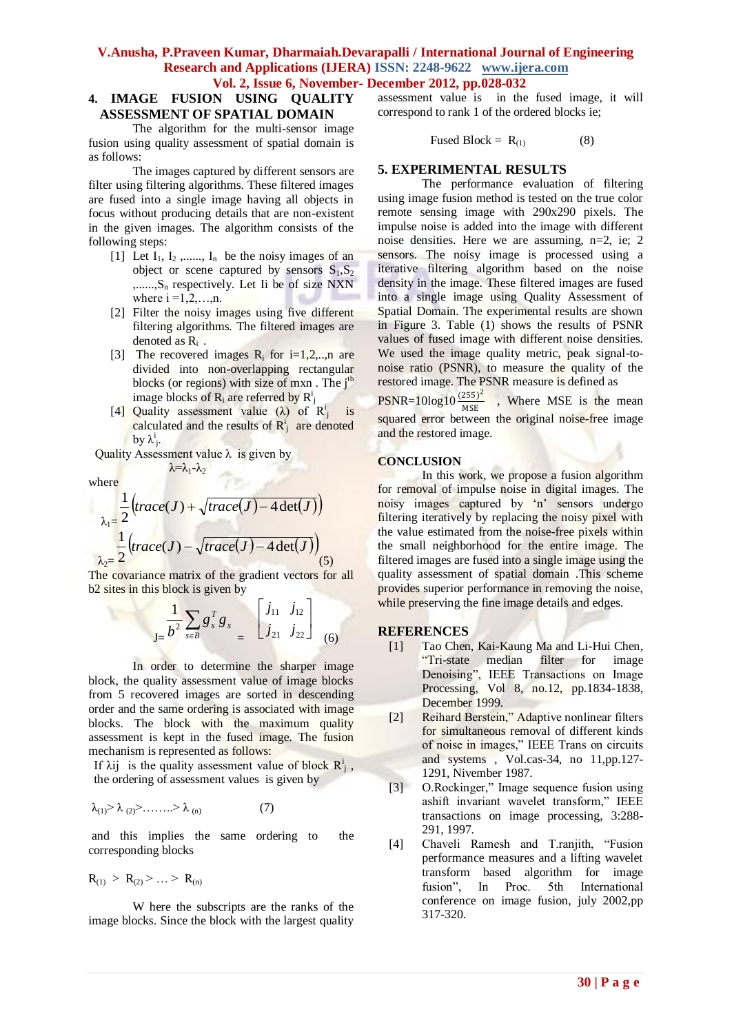#### **4. IMAGE FUSION USING QUALITY ASSESSMENT OF SPATIAL DOMAIN**

The algorithm for the multi-sensor image fusion using quality assessment of spatial domain is as follows:

The images captured by different sensors are filter using filtering algorithms. These filtered images are fused into a single image having all objects in focus without producing details that are non-existent in the given images. The algorithm consists of the following steps:

- [1] Let  $I_1$ ,  $I_2$ ,......,  $I_n$  be the noisy images of an object or scene captured by sensors  $S_1, S_2$  $,......,S_n$  respectively. Let Ii be of size NXN where  $i = 1, 2, \ldots, n$ .
- [2] Filter the noisy images using five different filtering algorithms. The filtered images are denoted as Ri .
- [3] The recovered images  $R_i$  for i=1,2,..,n are divided into non-overlapping rectangular blocks (or regions) with size of mxn. The  $i<sup>th</sup>$ image blocks of  $R_i$  are referred by  $R_j^i$
- [4] Quality assessment value ( $\lambda$ ) of  $R^i_j$  is calculated and the results of  $R_i^i$  are denoted by  $\lambda^i_j$ .

Quality Assessment value  $\lambda$  is given by  $\lambda = \lambda_1 - \lambda_2$ 

where

$$
\lambda_1 = \frac{1}{2} \left( \operatorname{trace}(J) + \sqrt{\operatorname{trace}(J) - 4 \operatorname{det}(J)} \right)
$$

$$
\lambda_2 = \frac{1}{2} \left( \operatorname{trace}(J) - \sqrt{\operatorname{trace}(J) - 4 \operatorname{det}(J)} \right)_{(5)}
$$

The covariance matrix of the gradient vectors for all b2 sites in this block is given by

$$
\frac{1}{J_{\pm}}\sum_{s\in B}g_{s}^{T}g_{s} = \begin{bmatrix} j_{11} & j_{12} \\ j_{21} & j_{22} \end{bmatrix}
$$
 (6)

In order to determine the sharper image block, the quality assessment value of image blocks from 5 recovered images are sorted in descending order and the same ordering is associated with image blocks. The block with the maximum quality assessment is kept in the fused image. The fusion mechanism is represented as follows:

If  $\lambda$ ij is the quality assessment value of block  $R_j^i$ , the ordering of assessment values is given by

$$
\lambda_{(1)} > \lambda_{(2)} > \ldots > \lambda_{(n)} \tag{7}
$$

and this implies the same ordering to the corresponding blocks

$$
R_{(1)} > R_{(2)} > ... > R_{(n)}
$$

W here the subscripts are the ranks of the image blocks. Since the block with the largest quality

assessment value is in the fused image, it will correspond to rank 1 of the ordered blocks ie;

$$
Fused Block = R_{(1)} \tag{8}
$$

## **5. EXPERIMENTAL RESULTS**

The performance evaluation of filtering using image fusion method is tested on the true color remote sensing image with 290x290 pixels. The impulse noise is added into the image with different noise densities. Here we are assuming, n=2, ie; 2 sensors. The noisy image is processed using a iterative filtering algorithm based on the noise density in the image. These filtered images are fused into a single image using Quality Assessment of Spatial Domain. The experimental results are shown in Figure 3. Table (1) shows the results of PSNR values of fused image with different noise densities. We used the image quality metric, peak signal-tonoise ratio (PSNR), to measure the quality of the restored image. The PSNR measure is defined as

 $PSNR = 10log 10 \frac{(255)^2}{MSE}$  $\frac{253j}{MSE}$ , Where MSE is the mean squared error between the original noise-free image and the restored image.

#### **CONCLUSION**

In this work, we propose a fusion algorithm for removal of impulse noise in digital images. The noisy images captured by 'n' sensors undergo filtering iteratively by replacing the noisy pixel with the value estimated from the noise-free pixels within the small neighborhood for the entire image. The filtered images are fused into a single image using the quality assessment of spatial domain .This scheme provides superior performance in removing the noise, while preserving the fine image details and edges.

#### **REFERENCES**

- [1] Tao Chen, Kai-Kaung Ma and Li-Hui Chen, "Tri-state median filter for image Denoising", IEEE Transactions on Image Processing, Vol 8, no.12, pp.1834-1838, December 1999.
- [2] Reihard Berstein," Adaptive nonlinear filters for simultaneous removal of different kinds of noise in images," IEEE Trans on circuits and systems , Vol.cas-34, no 11,pp.127- 1291, Nivember 1987.
- [3] O.Rockinger," Image sequence fusion using ashift invariant wavelet transform," IEEE transactions on image processing, 3:288- 291, 1997.
- [4] Chaveli Ramesh and T.ranjith, "Fusion performance measures and a lifting wavelet transform based algorithm for image fusion", In Proc. 5th International conference on image fusion, july 2002,pp 317-320.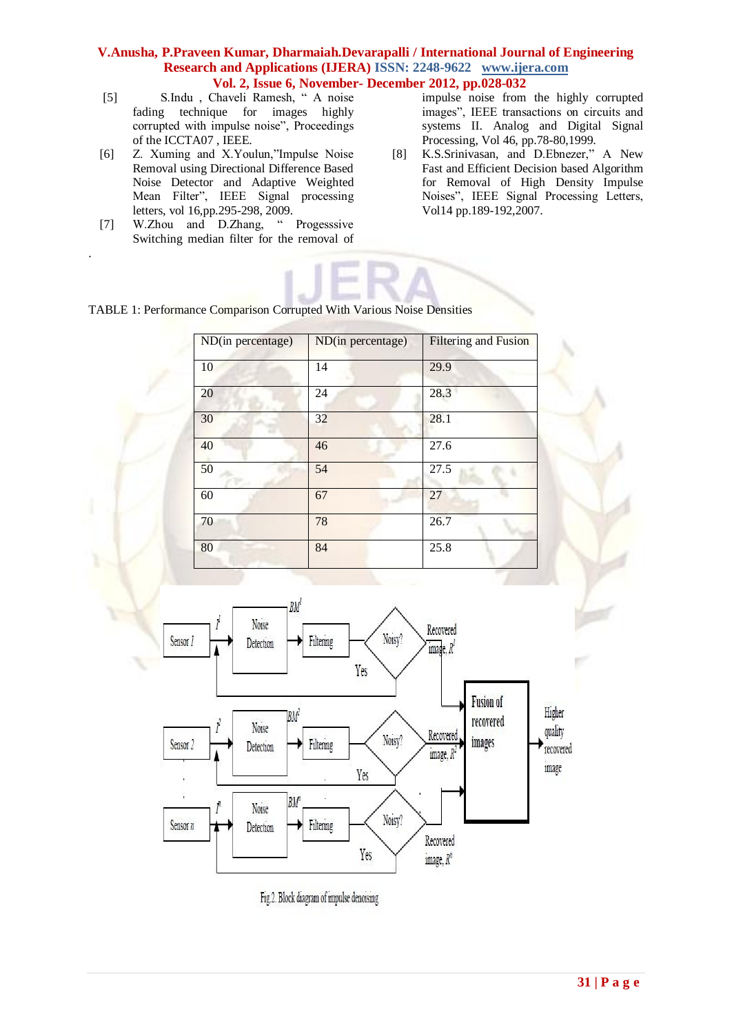- [5] S.Indu , Chaveli Ramesh, " A noise fading technique for images highly corrupted with impulse noise", Proceedings of the ICCTA07 , IEEE.
- [6] Z. Xuming and X.Youlun,"Impulse Noise Removal using Directional Difference Based Noise Detector and Adaptive Weighted Mean Filter", IEEE Signal processing letters, vol 16,pp.295-298, 2009.
- [7] W.Zhou and D.Zhang, " Progesssive Switching median filter for the removal of

.

impulse noise from the highly corrupted images", IEEE transactions on circuits and systems II. Analog and Digital Signal Processing, Vol 46, pp.78-80,1999.

[8] K.S.Srinivasan, and D.Ebnezer," A New Fast and Efficient Decision based Algorithm for Removal of High Density Impulse Noises", IEEE Signal Processing Letters, Vol14 pp.189-192,2007.



| ND(in percentage) | ND(in percentage) | <b>Filtering and Fusion</b> |
|-------------------|-------------------|-----------------------------|
| 10                | 14                | 29.9                        |
| 20                | 24                | 28.3                        |
| 30                | 32                | 28.1                        |
| 40                | 46                | 27.6                        |
| 50                | 54                | 27.5                        |
| 60                | 67                | 27                          |
| 70                | 78                | 26.7                        |
| 80                | 84                | 25.8                        |



Fig.2. Block diagram of impulse denoising